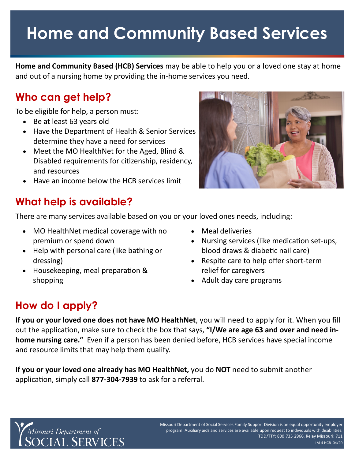# **Home and Community Based Services**

 **Home and Community Based (HCB) Services** may be able to help you or a loved one stay at home and out of a nursing home by providing the in-home services you need.

## **Who can get help?**

To be eligible for help, a person must:

- Be at least 63 years old
- Have the Department of Health & Senior Services determine they have a need for services
- Meet the MO HealthNet for the Aged, Blind & Disabled requirements for citizenship, residency, and resources
- Have an income below the HCB services limit

## **What help is available?**

There are many services available based on you or your loved ones needs, including:

- MO HealthNet medical coverage with no premium or spend down
- Help with personal care (like bathing or dressing)
- Housekeeping, meal preparation & shopping
- Meal deliveries
- Nursing services (like medication set-ups, blood draws & diabetic nail care)
- Respite care to help offer short-term relief for caregivers
- Adult day care programs

## **How do I apply?**

 **If you or your loved one does not have MO HealthNet**, you will need to apply for it. When you fill out the application, make sure to check the box that says, **"I/We are age 63 and over and need in- home nursing care."** Even if a person has been denied before, HCB services have special income and resource limits that may help them qualify.

 **If you or your loved one already has MO HealthNet,** you do **NOT** need to submit another application, simply call **877-304-7939** to ask for a referral.



 - IM 4 HCB 04/20- - TDD/TTY: 800 735 2966, Relay Missouri: 711 Missouri Department of Social Services Family Support Division is an equal opportunity employer program. Auxiliary aids and services are available upon request to individuals with disabilities.